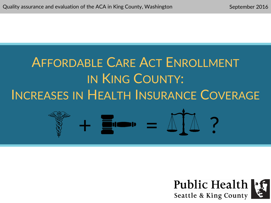# $\frac{1}{2}$   $\frac{1}{2}$   $\frac{1}{2}$   $\frac{1}{2}$   $\frac{1}{2}$ AFFORDABLE CARE ACT ENROLLMENT IN KING COUNTY: INCREASES IN HEALTH INSURANCE COVERAGE

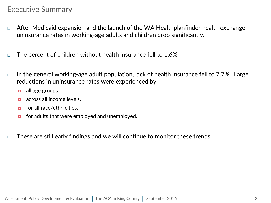- $\Box$  After Medicaid expansion and the launch of the WA Healthplanfinder health exchange, uninsurance rates in working-age adults and children drop significantly.
- $\Box$  The percent of children without health insurance fell to 1.6%.
- $\Box$  In the general working-age adult population, lack of health insurance fell to 7.7%. Large reductions in uninsurance rates were experienced by
	- $\Box$  all age groups,
	- **a** across all income levels.
	- $\Box$  for all race/ethnicities,
	- $\Box$  for adults that were employed and unemployed.
- $\Box$  These are still early findings and we will continue to monitor these trends.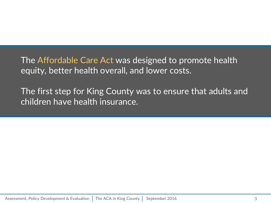The Affordable Care Act was designed to promote health equity, better health overall, and lower costs.

The first step for King County was to ensure that adults and children have health insurance.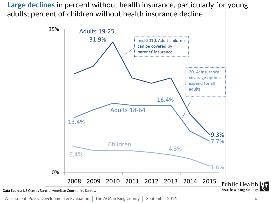**Large declines** in percent without health insurance, particularly for young adults; percent of children without health insurance decline

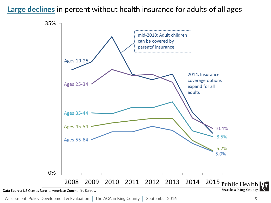#### **Large declines** in percent without health insurance for adults of all ages

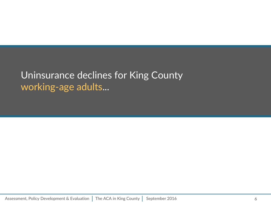### Uninsurance declines for King County working-age adults...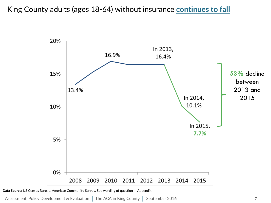

**Data Source:** US Census Bureau, American Community Survey. See wording of question in Appendix.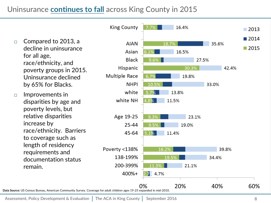#### Uninsurance **continues to fall** across King County in 2015

**King County** 16.4% 7 7%  $\blacksquare$  2013  $\blacksquare$  2014  $\Box$  Compared to 2013, a **AIAN** 18.7% 35.6% decline in uninsurance  $\blacksquare$  2015 Asian 16.5% for all age, **Black**  $9.6\%$ 27.5% race/ethnicity, and Hispanic 30.3% 42.4% poverty groups in 2015. Multiple Race Uninsurance declined 6.7% 19.8% by 65% for Blacks. **NHPI** 10.5% 33.0% white 13.8% 5.7%  $\Box$  Improvements in white NH 4.8% 11.5% disparities by age and poverty levels, but relative disparities Age 19-25 9.3% 23.1% increase by 25-44 9.5% 19.0% race/ethnicity. Barriers 45-64  $5.1%$ 11.4% to coverage such as length of residency Poverty <138% 16.2% 39.8% requirements and 138-199%  $19.5^{\circ}$ 34.4% documentation status 200-399% 21.1% remain. 11 -3%  $400% +$ 4.7% 20% 40% 60% 0% **Data Source:** US Census Bureau, American Community Survey. Coverage for adult children ages 19-25 expanded in mid-2010.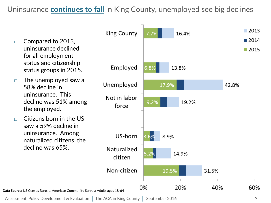Uninsurance **continues to fall** in King County, unemployed see big declines

- $\Box$  Compared to 2013, uninsurance declined for all employment status and citizenship status groups in 2015.
- $\Box$  The unemployed saw a 58% decline in uninsurance. This decline was 51% among the employed.
- $\Box$  Citizens born in the US saw a 59% decline in uninsurance. Among naturalized citizens, the decline was 65%.

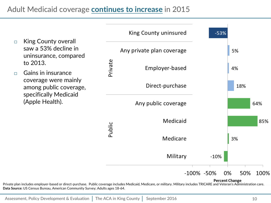Adult Medicaid coverage **continues to increase** in 2015

King County uninsured  $-53%$ □ King County overall saw a 53% decline in Any private plan coverage 5% uninsurance, compared Private to 2013. Employer-based 4%  $\Box$  Gains in insurance coverage were mainly Direct-purchase 18% among public coverage, specifically Medicaid (Apple Health). Any public coverage 64% Medicaid 85% Public Medicare 3% Military  $-10%$ -100% -50% 0% 50% 100% **Percent Change** 

Private plan includes employer-based or direct-purchase. Public coverage includes Medicaid, Medicare, or military. Military includes TRICARE and Veteran's Administration care. **Data Source:** US Census Bureau, American Community Survey; Adults ages 18-64.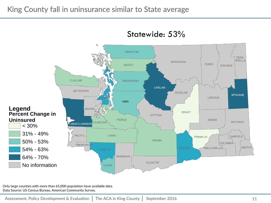

Statewide: 53%

Only large counties with more than 65,000 population have available data. Data Source: US Census Bureau, American Community Survey.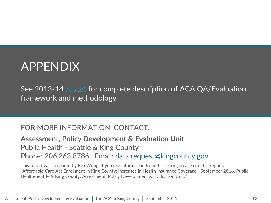## APPENDIX

See2013-14 report for complete description of ACA QA/Evaluation framework and methodology

#### FOR MORE INFORMATION, CONTACT:

**Assessment, Policy Development & Evaluation Unit** Public Health - Seattle & King County Phone: 206.263.8786 | Email: [data.request@kingcounty.gov](mailto:data.request@kingcounty.gov)

This report was prepared by Eva Wong. If you use information from this report, please cite this report as "Affordable Care Act Enrollment in King County: Increases in Health Insurance Coverage." September 2016. Public Health-Seattle & King County; Assessment, Policy Development & Evaluation Unit."